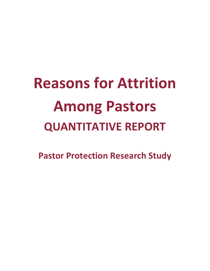**Reasons for Attrition Among Pastors QUANTITATIVE REPORT**

**Pastor Protection Research Study**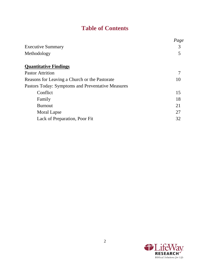# **Table of Contents**

|                                                   | Page |
|---------------------------------------------------|------|
| <b>Executive Summary</b>                          | 3    |
| Methodology                                       | 5    |
| <b>Quantitative Findings</b>                      |      |
| <b>Pastor Attrition</b>                           | 7    |
| Reasons for Leaving a Church or the Pastorate     | 10   |
| Pastors Today: Symptoms and Preventative Measures |      |
| Conflict                                          | 15   |
| Family                                            | 18   |
| <b>Burnout</b>                                    | 21   |
| Moral Lapse                                       | 27   |
| Lack of Preparation, Poor Fit                     | 32   |

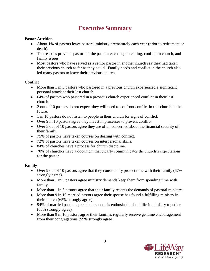# **Executive Summary**

#### **Pastor Attrition**

- About 1% of pastors leave pastoral ministry prematurely each year (prior to retirement or death).
- Top reasons previous pastor left the pastorate: change in calling, conflict in church, and family issues.
- Most pastors who have served as a senior pastor in another church say they had taken their previous church as far as they could. Family needs and conflict in the church also led many pastors to leave their previous church.

## **Conflict**

- More than 1 in 3 pastors who pastored in a previous church experienced a significant personal attack at their last church.
- 64% of pastors who pastored in a previous church experienced conflict in their last church.
- 2 out of 10 pastors do not expect they will need to confront conflict in this church in the future.
- 1 in 10 pastors do not listen to people in their church for signs of conflict.
- Over 9 in 10 pastors agree they invest in processes to prevent conflict
- Over 5 out of 10 pastors agree they are often concerned about the financial security of their family.
- 75% of pastors have taken courses on dealing with conflict.
- 72% of pastors have taken courses on interpersonal skills.
- 84% of churches have a process for church discipline.
- 70% of churches have a document that clearly communicates the church's expectations for the pastor.

# **Family**

- Over 9 out of 10 pastors agree that they consistently protect time with their family (67% strongly agree).
- More than 1 in 3 pastors agree ministry demands keep them from spending time with family.
- More than 1 in 5 pastors agree that their family resents the demands of pastoral ministry.
- More than 9 in 10 married pastors agree their spouse has found a fulfilling ministry in their church (65% strongly agree).
- 94% of married pastors agree their spouse is enthusiastic about life in ministry together (63% strongly agree).
- More than 9 in 10 pastors agree their families regularly receive genuine encouragement from their congregations (59% strongly agree).

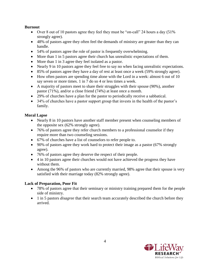### **Burnout**

- Over 8 out of 10 pastors agree they feel they must be "on-call" 24 hours a day (51% strongly agree).
- 48% of pastors agree they often feel the demands of ministry are greater than they can handle.
- 54% of pastors agree the role of pastor is frequently overwhelming.
- More than 1 in 5 pastors agree their church has unrealistic expectations of them.
- More than 1 in 3 agree they feel isolated as a pastor.
- Nearly 9 in 10 pastors agree they feel free to say no when facing unrealistic expectations.
- 85% of pastors agree they have a day of rest at least once a week (59% strongly agree).
- How often pastors are spending time alone with the Lord in a week: almost 6 out of 10 say seven or more times. 1 in 7 do so 4 or less times a week.
- A majority of pastors meet to share their struggles with their spouse (90%), another pastor (71%), and/or a close friend (74%) at least once a month.
- 29% of churches have a plan for the pastor to periodically receive a sabbatical.
- 34% of churches have a pastor support group that invests in the health of the pastor's family.

## **Moral Lapse**

- Nearly 8 in 10 pastors have another staff member present when counseling members of the opposite sex (62% strongly agree).
- 76% of pastors agree they refer church members to a professional counselor if they require more than two counseling sessions.
- 67% of churches have a list of counselors to refer people to.
- 90% of pastors agree they work hard to protect their image as a pastor (67% strongly agree).
- 76% of pastors agree they deserve the respect of their people.
- 4 in 10 pastors agree their churches would not have achieved the progress they have without them.
- Among the 96% of pastors who are currently married, 98% agree that their spouse is very satisfied with their marriage today (82% strongly agree).

# **Lack of Preparation, Poor Fit**

- 78% of pastors agree that their seminary or ministry training prepared them for the people side of ministry.
- 1 in 5 pastors *disagree* that their search team accurately described the church before they arrived.

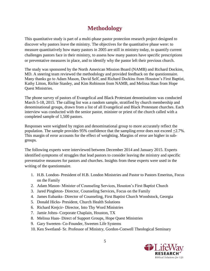# **Methodology**

This quantitative study is part of a multi-phase pastor protection research project designed to discover why pastors leave the ministry. The objectives for the quantitative phase were: to measure quantitatively how many pastors in 2005 are still in ministry today, to quantify current challenges pastors face in their ministry, to assess how many pastors have specific prescriptions or preventative measures in place, and to identify why the pastor left their previous church.

The study was sponsored by the North American Mission Board (NAMB) and Richard Dockins, MD. A steering team reviewed the methodology and provided feedback on the questionnaire. Many thanks go to Adam Mason, David Self, and Richard Dockins from Houston's First Baptist, Kathy Litton, Richie Stanley, and Kim Robinson from NAMB, and Melissa Haas from Hope Quest Ministries.

The phone survey of pastors of Evangelical and Black Protestant denominations was conducted March 5-18, 2015. The calling list was a random sample, stratified by church membership and denominational groups, drawn from a list of all Evangelical and Black Protestant churches. Each interview was conducted with the senior pastor, minister or priest of the church called with a completed sample of 1,500 pastors.

Responses were weighted by region and denominational group to more accurately reflect the population. The sample provides 95% confidence that the sampling error does not exceed +2.7%. This margin of error accounts for the effect of weighting. Margins of error are higher in subgroups.

The following experts were interviewed between December 2014 and January 2015. Experts identified symptoms of struggles that lead pastors to consider leaving the ministry and specific preventative measures for pastors and churches. Insights from these experts were used in the writing of the questionnaire.

- 1. H.B. London- President of H.B. London Ministries and Pastor to Pastors Emeritus, Focus on the Family
- 2. Adam Mason- Minister of Counseling Services, Houston's First Baptist Church
- 3. Jared Pingleton- Director, Counseling Services, Focus on the Family
- 4. James Eubanks- Director of Counseling, First Baptist Church Woodstock, Georgia
- 5. Donald Hicks- President, Church Health Solutions
- 6. Richard Krejcir- Director, Into Thy Word Ministries
- 7. Jamie Johns- Corporate Chaplain, Houston, TX
- 8. Melissa Haas- Direct of Support Groups, Hope Quest Ministries
- 9. Gary Sweeten- Co-Founder, Sweeten Life Systems
- 10. Ken Swetland- Sr. Professor of Ministry, Gordon-Conwell Theological Seminary

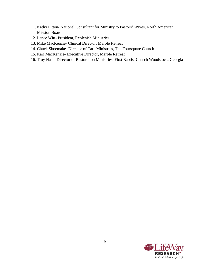- 11. Kathy Litton- National Consultant for Ministry to Pastors' Wives, North American Mission Board
- 12. Lance Witt- President, Replenish Ministries
- 13. Mike MacKenzie- Clinical Director, Marble Retreat
- 14. Chuck Shoemake- Director of Care Ministries, The Foursquare Church
- 15. Kari MacKenzie- Executive Director, Marble Retreat
- 16. Troy Haas- Director of Restoration Ministries, First Baptist Church Woodstock, Georgia

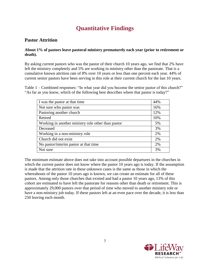# **Quantitative Findings**

# **Pastor Attrition**

#### **About 1% of pastors leave pastoral ministry prematurely each year (prior to retirement or death).**

By asking current pastors who was the pastor of their church 10 years ago, we find that 2% have left the ministry completely and 5% are working in ministry other than the pastorate. That is a cumulative known attrition rate of 8% over 10 years or less than one percent each year. 44% of current senior pastors have been serving in this role at their current church for the last 10 years.

Table 1 – Combined responses: "In what year did you become the senior pastor of this church?" "As far as you know, which of the following best describes where that pastor is today?"

| I was the pastor at that time                      | 44% |
|----------------------------------------------------|-----|
| Not sure who pastor was                            | 16% |
| Pastoring another church                           | 12% |
| Retired                                            | 10% |
| Working in another ministry role other than pastor | 5%  |
| Deceased                                           | 3%  |
| Working in a non-ministry role                     | 2%  |
| Church did not exist                               | 2%  |
| No pastor/interim pastor at that time              | 2%  |
| Not sure                                           | 3%  |

The minimum estimate above does not take into account possible departures in the churches in which the current pastor does not know where the pastor 10 years ago is today. If the assumption is made that the attrition rate in these unknown cases is the same as those in which the whereabouts of the pastor 10 years ago is known, we can create an estimate for all of these pastors. Among only those churches that existed and had a pastor 10 years ago, 13% of this cohort are estimated to have left the pastorate for reasons other than death or retirement. This is approximately 29,000 pastors over that period of time who moved to another ministry role or have a non-ministry job today. If these pastors left at an even pace over the decade, it is less than 250 leaving each month.

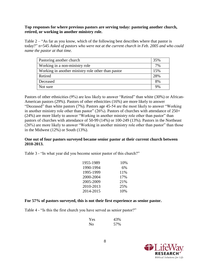#### **Top responses for where previous pastors are serving today: pastoring another church, retired, or working in another ministry role.**

Table 2 – "As far as you know, which of the following best describes where that pastor is today?" n=545 *Asked of pastors who were not at the current church in Feb. 2005 and who could name the pastor at that time.*

| Pastoring another church                           | 35% |
|----------------------------------------------------|-----|
| Working in a non-ministry role                     | 7%  |
| Working in another ministry role other than pastor | 15% |
| Retired                                            | 28% |
| Deceased                                           | 8%  |
| Not sure                                           | 9%  |

Pastors of other ethnicities (9%) are less likely to answer "Retired" than white (30%) or African-American pastors (29%). Pastors of other ethnicities (16%) are more likely to answer "Deceased" than white pastors (7%). Pastors age 45-54 are the most likely to answer "Working in another ministry role other than pastor"  $(26\%)$ . Pastors of churches with attendance of  $250+$ (24%) are more likely to answer "Working in another ministry role other than pastor" than pastors of churches with attendance of 50-99 (14%) or 100-249 (13%). Pastors in the Northeast (26%) are more likely to answer "Working in another ministry role other than pastor" than those in the Midwest (12%) or South (13%).

#### **One out of four pastors surveyed became senior pastor at their current church between 2010-2013.**

Table 3 - "In what year did you become senior pastor of this church?"

| 1955-1989 | 10% |
|-----------|-----|
| 1990-1994 | 6%  |
| 1995-1999 | 11% |
| 2000-2004 | 17% |
| 2005-2009 | 21% |
| 2010-2013 | 25% |
| 2014-2015 | 10% |

#### **For 57% of pastors surveyed, this is not their first experience as senior pastor.**

Table 4 - "Is this the first church you have served as senior pastor?"

| Yes            | 43% |
|----------------|-----|
| N <sub>0</sub> | 57% |

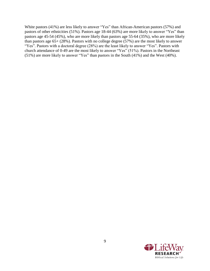White pastors (41%) are less likely to answer "Yes" than African-American pastors (57%) and pastors of other ethnicities (51%). Pastors age 18-44 (63%) are more likely to answer "Yes" than pastors age 45-54 (45%), who are more likely than pastors age 55-64 (35%), who are more likely than pastors age 65+ (28%). Pastors with no college degree (57%) are the most likely to answer "Yes". Pastors with a doctoral degree (28%) are the least likely to answer "Yes". Pastors with church attendance of 0-49 are the most likely to answer "Yes" (51%). Pastors in the Northeast (51%) are more likely to answer "Yes" than pastors in the South (41%) and the West (40%).

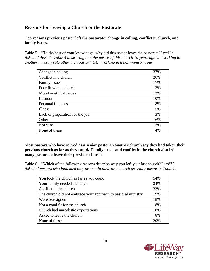# **Reasons for Leaving a Church or the Pastorate**

**Top reasons previous pastor left the pastorate: change in calling, conflict in church, and family issues.**

Table 5 – "To the best of your knowledge, why did this pastor leave the pastorate?" n=114 *Asked of those in Table 4 answering that the pastor of this church 10 years ago is "working in another ministry role other than pastor" OR "working in a non-ministry role."*

| Change in calling               | 37% |
|---------------------------------|-----|
| Conflict in a church            | 26% |
| Family issues                   | 17% |
| Poor fit with a church          | 13% |
| Moral or ethical issues         | 13% |
| <b>Burnout</b>                  | 10% |
| Personal finances               | 8%  |
| <b>Illness</b>                  | 5%  |
| Lack of preparation for the job | 3%  |
| Other                           | 16% |
| Not sure                        | 12% |
| None of these                   | 4%  |

**Most pastors who have served as a senior pastor in another church say they had taken their previous church as far as they could. Family needs and conflict in the church also led many pastors to leave their previous church.**

Table 6 – "Which of the following reasons describe why you left your last church?" n=875 *Asked of pastors who indicated they are not in their first church as senior pastor in Table 2.*

| You took the church as far as you could                       | 54% |
|---------------------------------------------------------------|-----|
| Your family needed a change                                   | 34% |
| Conflict in the church                                        | 23% |
| The church did not embrace your approach to pastoral ministry | 19% |
| Were reassigned                                               | 18% |
| Not a good fit for the church                                 | 18% |
| Church had unrealistic expectations                           | 18% |
| Asked to leave the church                                     | 8%  |
| None of these                                                 | 20% |

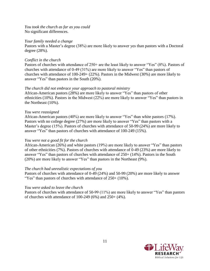*You took the church as far as you could*  No significant differences.

#### *Your family needed a change*

Pastors with a Master's degree (38%) are more likely to answer yes than pastors with a Doctoral degree (28%).

### *Conflict in the church*

Pastors of churches with attendance of 250+ are the least likely to answer "Yes" (8%). Pastors of churches with attendance of 0-49 (31%) are more likely to answer "Yes" than pastors of churches with attendance of 100-249+ (22%). Pastors in the Midwest (30%) are more likely to answer "Yes" than pastors in the South (20%).

#### *The church did not embrace your approach to pastoral ministry*

African-American pastors (28%) are more likely to answer "Yes" than pastors of other ethnicities (10%). Pastors in the Midwest (22%) are more likely to answer "Yes" than pastors in the Northeast (10%).

### *You were reassigned*

African-American pastors (40%) are more likely to answer "Yes" than white pastors (17%). Pastors with no college degree (27%) are more likely to answer "Yes" than pastors with a Master's degree (15%). Pastors of churches with attendance of 50-99 (24%) are more likely to answer "Yes" than pastors of churches with attendance of 100-249 (15%).

## *You were not a good fit for the church*

African-American (26%) and white pastors (19%) are more likely to answer "Yes" than pastors of other ethnicities (7%). Pastors of churches with attendance of 0-49 (23%) are more likely to answer "Yes" than pastors of churches with attendance of 250+ (14%). Pastors in the South (20%) are more likely to answer "Yes" than pastors in the Northeast (9%).

#### *The church had unrealistic expectations of you*

Pastors of churches with attendance of 0-49 (24%) and 50-99 (20%) are more likely to answer "Yes" than pastors of churches with attendance of  $250+ (10\%)$ .

#### *You were asked to leave the church*

Pastors of churches with attendance of 50-99 (11%) are more likely to answer "Yes" than pastors of churches with attendance of 100-249 (6%) and 250+ (4%).

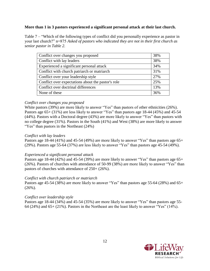### **More than 1 in 3 pastors experienced a significant personal attack at their last church.**

Table 7 – "Which of the following types of conflict did you personally experience as pastor in your last church?" n=875 *Asked of pastors who indicated they are not in their first church as senior pastor in Table 2.*

| 38% |
|-----|
| 38% |
| 34% |
| 31% |
| 27% |
| 25% |
| 13% |
| 36% |
|     |

### *Conflict over changes you proposed*

White pastors (39%) are more likely to answer "Yes" than pastors of other ethnicities (26%). Pastors age 65+ (31%) are less likely to answer "Yes" than pastors age 18-44 (45%) and 45-54 (44%). Pastors with a Doctoral degree (43%) are more likely to answer "Yes" than pastors with no college degree (31%). Pastors in the South (41%) and West (38%) are more likely to answer "Yes" than pastors in the Northeast (24%)

#### *Conflict with lay leaders*

Pastors age 18-44 (41%) and 45-54 (49%) are more likely to answer "Yes" than pastors age 65+ (29%). Pastors age 55-64 (37%) are less likely to answer "Yes" than pastors age 45-54 (49%).

#### *Experienced a significant personal attack*

Pastors age 18-44 (42%) and 45-54 (39%) are more likely to answer "Yes" than pastors age 65+ (26%). Pastors of churches with attendance of 50-99 (38%) are more likely to answer "Yes" than pastors of churches with attendance of 250+ (26%).

#### *Conflict with church patriarch or matriarch*

Pastors age 45-54 (38%) are more likely to answer "Yes" than pastors age 55-64 (28%) and 65+  $(26\%)$ .

#### *Conflict over leadership style*

Pastors age 18-44 (34%) and 45-54 (35%) are more likely to answer "Yes" than pastors age 55- 64 (24%) and 65+ (21%). Pastors in the Northeast are the least likely to answer "Yes" (14%).

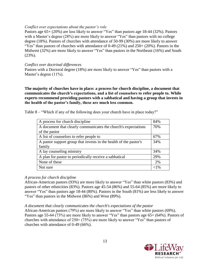#### *Conflict over expectations about the pastor's role*

Pastors age 65+ (20%) are less likely to answer "Yes" than pastors age 18-44 (32%). Pastors with a Master's degree (28%) are more likely to answer "Yes" than pastors with no college degree (18%). Pastors of churches with attendance of 50-99 (30%) are more likely to answer "Yes" than pastors of churches with attendance of  $0-49$  (21%) and  $250+$  (20%). Pastors in the Midwest (32%) are more likely to answer "Yes" than pastors in the Northeast (16%) and South (23%).

#### *Conflict over doctrinal differences*

Pastors with a Doctoral degree (18%) are more likely to answer "Yes" than pastors with a Master's degree (11%).

**The majority of churches have in place: a process for church discipline, a document that communicates the church's expectations, and a list of counselors to refer people to. While experts recommend providing pastors with a sabbatical and having a group that invests in the health of the pastor's family, these are much less common.**

Table 8 – "Which if any of the following does your church have in place today?"

| A process for church discipline                                   | 84%      |
|-------------------------------------------------------------------|----------|
| A document that clearly communicates the church's expectations    | 70%      |
| of the pastor                                                     |          |
| A list of counselors to refer people to                           | 67%      |
| A pastor support group that invests in the health of the pastor's | 34%      |
| family                                                            |          |
| A lay counseling ministry                                         | 34%      |
| A plan for pastor to periodically receive a sabbatical            | 29%      |
| None of these                                                     | 2%       |
| Not sure                                                          | ${<}1\%$ |
|                                                                   |          |

#### *A process for church discipline*

African-American pastors (93%) are more likely to answer "Yes" than white pastors (83%) and pastors of other ethnicities (83%). Pastors age 45-54 (86%) and 55-64 (85%) are more likely to answer "Yes" than pastors age 18-44 (80%). Pastors in the South (81%) are less likely to answer "Yes" than pastors in the Midwest (86%) and West (89%).

#### *A document that clearly communicates the church's expectations of the pastor*

African-American pastors (79%) are more likely to answer "Yes" than white pastors (69%). Pastors age 55-64 (73%) are more likely to answer "Yes" than pastors age 65+ (64%). Pastors of churches with attendance of 250+ (75%) are more likely to answer "Yes" than pastors of churches with attendance of 0-49 (66%).

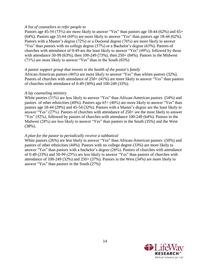#### *A list of counselors to refer people to*

Pastors age 45-54 (73%) are more likely to answer "Yes" than pastors age 18-44 (62%) and 65+ (64%). Pastors age 55-64 (69%) are more likely to answer "Yes" than pastors age 18-44 (62%). Pastors with a Master's degree (72%) or a Doctoral degree (76%) are more likely to answer "Yes" than pastors with no college degree (57%) or a Bachelor's degree (63%). Pastors of churches with attendance of 0-49 are the least likely to answer "Yes" (49%), followed by those with attendance 50-99 (63%), then 100-249 (73%), then 250+ (84%). Pastors in the Midwest (71%) are more likely to answer "Yes" than in the South (65%)

#### *A pastor support group that invests in the health of the pastor's family*

African-American pastors (46%) are more likely to answer "Yes" than whites pastors (32%). Pastors of churches with attendance of 250+ (41%) are more likely to answer "Yes" than pastors of churches with attendance of 0-49 (30%) and 100-249 (33%).

#### *A lay counseling ministry*

White pastors (31%) are less likely to answer "Yes" than African-American pastors (54%) and pastors of other ethnicities (49%). Pastors age 65+ (40%) are more likely to answer "Yes" than pastors age 18-44 (29%) and 45-54 (32%). Pastors with a Master's degree are the least likely to answer "Yes" (27%). Pastors of churches with attendance of 250+ are the most likely to answer "Yes" (52%), followed by pastors of churches with attendance 100-249 (64%). Pastors in the Midwest (28%) are less likely to answer "Yes" than pastors in the South (35%) and the West (38%).

#### *A plan for the pastor to periodically receive a sabbatical*

White pastors (26%) are less likely to answer "Yes" than African-American pastors (50%) and pastors of other ethnicities (44%). Pastors with no college degree (33%) are more likely to answer "Yes" than pastors with a bachelor's degree (26%). Pastors of churches with attendance of 0-49 (23%) and 50-99 (25%) are less likely to answer "Yes" than pastors of churches with attendance of 100-249 (32%) and 250+ (37%). Pastors in the West (34%) are more likely to answer "Yes" than pastors in the South (27%)

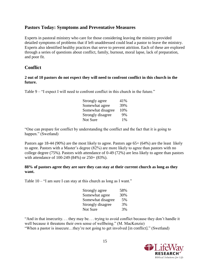# **Pastors Today: Symptoms and Preventative Measures**

Experts in pastoral ministry who care for those considering leaving the ministry provided detailed symptoms of problems that if left unaddressed could lead a pastor to leave the ministry. Experts also identified healthy practices that serve to prevent attrition. Each of these are explored through a series of questions about conflict, family, burnout, moral lapse, lack of preparation, and poor fit.

# **Conflict**

### **2 out of 10 pastors do not expect they will need to confront conflict in this church in the future.**

Table 9 – "I expect I will need to confront conflict in this church in the future."

| Strongly agree    | 41% |
|-------------------|-----|
| Somewhat agree    | 39% |
| Somewhat disagree | 10% |
| Strongly disagree | 9%  |
| Not Sure          | 1%  |

"One can prepare for conflict by understanding the conflict and the fact that it is going to happen." (Swetland)

Pastors age 18-44 (90%) are the most likely to agree. Pastors age 65+ (64%) are the least likely to agree. Pastors with a Master's degree (82%) are more likely to agree than pastors with no college degree (75%). Pastors with attendance of 0-49 (72%) are less likely to agree than pastors with attendance of 100-249 (84%) or 250+ (83%).

#### **88% of pastors agree they are sure they can stay at their current church as long as they want.**

Table 10 – "I am sure I can stay at this church as long as I want."

| Strongly agree    | 58% |
|-------------------|-----|
| Somewhat agree    | 30% |
| Somewhat disagree | 5%  |
| Strongly disagree | 3%  |
| Not Sure          | 3%  |

"And in that insecurity. . . they may be. . . trying to avoid conflict because they don't handle it well because it threatens their own sense of wellbeing." (M. MacKenzie) "When a pastor is insecure…they're not going to get involved [in conflict]." (Swetland)

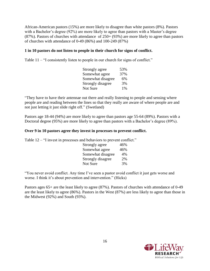African-American pastors (15%) are more likely to disagree than white pastors (8%). Pastors with a Bachelor's degree (92%) are more likely to agree than pastors with a Master's degree (87%). Pastors of churches with attendance of 250+ (93%) are more likely to agree than pastors of churches with attendance of 0-49 (86%) and 100-249 (87%)

### **1 in 10 pastors do not listen to people in their church for signs of conflict.**

Table 11 – "I consistently listen to people in our church for signs of conflict."

| Strongly agree    | 53%   |
|-------------------|-------|
| Somewhat agree    | 37%   |
| Somewhat disagree | 6%    |
| Strongly disagree | 3%    |
| Not Sure          | $1\%$ |

"They have to have their antennae out there and really listening to people and sensing where people are and reading between the lines so that they really are aware of where people are and not just letting it just slide right off." (Swetland)

Pastors age 18-44 (94%) are more likely to agree than pastors age 55-64 (89%). Pastors with a Doctoral degree (95%) are more likely to agree than pastors with a Bachelor's degree (89%).

### **Over 9 in 10 pastors agree they invest in processes to prevent conflict.**

Table 12 – "I invest in processes and behaviors to prevent conflict."

| Strongly agree    | 46% |
|-------------------|-----|
| Somewhat agree    | 46% |
| Somewhat disagree | 4%  |
| Strongly disagree | 2%  |
| Not Sure          | 3%  |
|                   |     |

"You never avoid conflict. Any time I've seen a pastor avoid conflict it just gets worse and worse. I think it's about prevention and intervention." (Hicks)

Pastors ages 65+ are the least likely to agree (87%). Pastors of churches with attendance of 0-49 are the least likely to agree (86%). Pastors in the West (87%) are less likely to agree than those in the Midwest (92%) and South (93%).

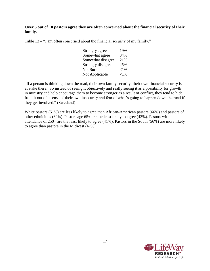#### **Over 5 out of 10 pastors agree they are often concerned about the financial security of their family.**

Table 13 – "I am often concerned about the financial security of my family."

| Strongly agree    | 19%      |
|-------------------|----------|
| Somewhat agree    | 34%      |
| Somewhat disagree | 21%      |
| Strongly disagree | 25%      |
| Not Sure          | ${<}1\%$ |
| Not Applicable    | $< 1\%$  |

"If a person is thinking down the road, their own family security, their own financial security is at stake there. So instead of seeing it objectively and really seeing it as a possibility for growth in ministry and help encourage them to become stronger as a result of conflict, they tend to hide from it out of a sense of their own insecurity and fear of what's going to happen down the road if they get involved." (Swetland)

White pastors (51%) are less likely to agree than African-American pastors (66%) and pastors of other ethnicities (62%). Pastors age 65+ are the least likely to agree (43%). Pastors with attendance of 250+ are the least likely to agree (41%). Pastors in the South (56%) are more likely to agree than pastors in the Midwest (47%).

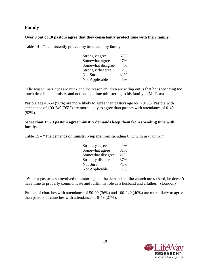# **Family**

## **Over 9 out of 10 pastors agree that they consistently protect time with their family.**

Table 14 – "I consistently protect my time with my family."

| Strongly agree    | 67%    |
|-------------------|--------|
| Somewhat agree    | 27%    |
| Somewhat disagree | 4%     |
| Strongly disagree | 2%     |
| Not Sure          | $<$ 1% |
| Not Applicable    | 1%     |

"The reason marriages are weak and the reason children are acting out is that he is spending too much time in the ministry and not enough time ministering to his family." (M. Haas)

Pastors age 45-54 (96%) are more likely to agree than pastors age 65+ (91%). Pastors with attendance of 100-249 (95%) are more likely to agree than pastors with attendance of 0-49 (92%).

### **More than 1 in 3 pastors agree ministry demands keep them from spending time with family.**

Table 15 – "The demands of ministry keep me from spending time with my family."

| 4%       |
|----------|
| 31%      |
| 27%      |
| 37%      |
| ${<}1\%$ |
| 1%       |
|          |

"When a pastor is so involved in pastoring and the demands of the church are so hard, he doesn't have time to properly communicate and fulfill his role as a husband and a father." (London)

Pastors of churches with attendance of 50-99 (36%) and 100-249 (40%) are more likely to agree than pastors of churches with attendance of 0-49 (27%).

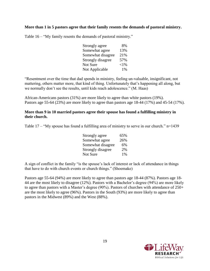### **More than 1 in 5 pastors agree that their family resents the demands of pastoral ministry.**

Table 16 – "My family resents the demands of pastoral ministry."

| Strongly agree    | 8%     |
|-------------------|--------|
| Somewhat agree    | 13%    |
| Somewhat disagree | 21%    |
| Strongly disagree | 57%    |
| Not Sure          | $<$ 1% |
| Not Applicable    | 1%     |

"Resentment over the time that dad spends in ministry, feeling un-valuable, insignificant, not mattering, others matter more, that kind of thing. Unfortunately that's happening all along, but we normally don't see the results, until kids reach adolescence." (M. Haas)

African-Americans pastors (31%) are more likely to agree than white pastors (19%). Pastors age 55-64 (23%) are more likely to agree than pastors age 18-44 (17%) and 45-54 (17%).

#### **More than 9 in 10 married pastors agree their spouse has found a fulfilling ministry in their church.**

Table 17 – "My spouse has found a fulfilling area of ministry to serve in our church." n=1439

| Strongly agree    | 65% |
|-------------------|-----|
| Somewhat agree    | 26% |
| Somewhat disagree | 6%  |
| Strongly disagree | 2%  |
| Not Sure          | 1%  |

A sign of conflict in the family "is the spouse's lack of interest or lack of attendance in things that have to do with church events or church things." (Shoemake)

Pastors age 55-64 (94%) are more likely to agree than pastors age 18-44 (87%). Pastors age 18- 44 are the most likely to disagree (12%). Pastors with a Bachelor's degree (94%) are more likely to agree than pastors with a Master's degree (90%). Pastors of churches with attendance of 250+ are the most likely to agree (96%). Pastors in the South (93%) are more likely to agree than pastors in the Midwest (89%) and the West (88%).

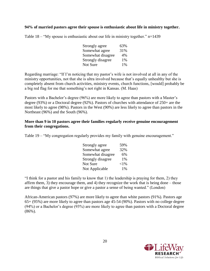### **94% of married pastors agree their spouse is enthusiastic about life in ministry together.**

Table 18 – "My spouse is enthusiastic about our life in ministry together." n=1439

| Strongly agree    | 63%   |
|-------------------|-------|
| Somewhat agree    | 31%   |
| Somewhat disagree | 4%    |
| Strongly disagree | 1%    |
| Not Sure          | $1\%$ |

Regarding marriage: "If I'm noticing that my pastor's wife is not involved at all in any of the ministry opportunities, not that she is ultra involved because that's equally unhealthy but she is completely absent from church activities, ministry events, church functions, [would] probably be a big red flag for me that something's not right in Kansas. (M. Haas)

Pastors with a Bachelor's degree (96%) are more likely to agree than pastors with a Master's degree (93%) or a Doctoral degree (92%). Pastors of churches with attendance of 250+ are the most likely to agree (98%). Pastors in the West (90%) are less likely to agree than pastors in the Northeast (96%) and the South (96%).

#### **More than 9 in 10 pastors agree their families regularly receive genuine encouragement from their congregations.**

Table 19 – "My congregation regularly provides my family with genuine encouragement."

| Strongly agree    | 59%       |
|-------------------|-----------|
| Somewhat agree    | 32%       |
| Somewhat disagree | 6%        |
| Strongly disagree | 1%        |
| Not Sure          | $<$ l $%$ |
| Not Applicable    | 1%        |

"I think for a pastor and his family to know that 1) the leadership is praying for them, 2) they affirm them, 3) they encourage them, and 4) they recognize the work that is being done – those are things that give a pastor hope or give a pastor a sense of being wanted." (London)

African-American pastors (97%) are more likely to agree than white pastors (91%). Pastors age 65+ (95%) are more likely to agree than pastors age 45-54 (90%). Pastors with no college degree (94%) or a Bachelor's degree (93%) are more likely to agree than pastors with a Doctoral degree  $(86\%)$ .

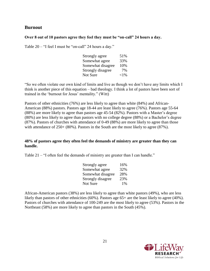## **Burnout**

### **Over 8 out of 10 pastors agree they feel they must be "on-call" 24 hours a day.**

Table 20 – "I feel I must be "on-call" 24 hours a day."

| Strongly agree    | 51%      |
|-------------------|----------|
| Somewhat agree    | 33%      |
| Somewhat disagree | 10%      |
| Strongly disagree | 7%       |
| Not Sure          | ${<}1\%$ |

"So we often violate our own kind of limits and live as though we don't have any limits which I think is another piece of this equation – bad theology. I think a lot of pastors have been sort of trained in the 'burnout for Jesus' mentality." (Witt)

Pastors of other ethnicities (76%) are less likely to agree than white (84%) and African-American (88%) pastors. Pastors age 18-44 are least likely to agree (76%). Pastors age 55-64 (88%) are more likely to agree than pastors age 45-54 (82%). Pastors with a Master's degree (80%) are less likely to agree than pastors with no college degree (88%) or a Bachelor's degree (87%). Pastors of churches with attendance of 0-49 (88%) are more likely to agree than those with attendance of 250+ (80%). Pastors in the South are the most likely to agree (87%).

#### **48% of pastors agree they often feel the demands of ministry are greater than they can handle.**

Table 21 – "I often feel the demands of ministry are greater than I can handle."

| 16%   |
|-------|
| 32%   |
| 28%   |
| 23%   |
| $1\%$ |
|       |

African-American pastors (38%) are less likely to agree than white pastors (49%), who are less likely than pastors of other ethnicities (60%). Pastors age 65+ are the least likely to agree (40%). Pastors of churches with attendance of 100-249 are the most likely to agree (53%). Pastors in the Northeast (58%) are more likely to agree than pastors in the South (45%).

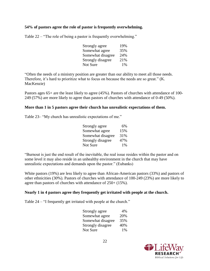#### **54% of pastors agree the role of pastor is frequently overwhelming.**

Table 22 – "The role of being a pastor is frequently overwhelming."

| Strongly agree    | 19%   |
|-------------------|-------|
| Somewhat agree    | 35%   |
| Somewhat disagree | 24%   |
| Strongly disagree | 21%   |
| Not Sure          | $1\%$ |

"Often the needs of a ministry position are greater than our ability to meet all those needs. Therefore, it's hard to prioritize what to focus on because the needs are so great." (K. MacKenzie)

Pastors ages 65+ are the least likely to agree (45%). Pastors of churches with attendance of 100- 249 (57%) are more likely to agree than pastors of churches with attendance of 0-49 (50%).

#### **More than 1 in 5 pastors agree their church has unrealistic expectations of them.**

Table 23– "My church has unrealistic expectations of me."

| Strongly agree    | 6%  |
|-------------------|-----|
| Somewhat agree    | 15% |
| Somewhat disagree | 31% |
| Strongly disagree | 47% |
| Not Sure          | 1%  |

"Burnout is just the end result of the inevitable, the real issue resides within the pastor and on some level it may also reside in an unhealthy environment in the church that may have unrealistic expectations and demands upon the pastor." (Eubanks)

White pastors (19%) are less likely to agree than African-American pastors (33%) and pastors of other ethnicities (30%). Pastors of churches with attendance of 100-249 (23%) are more likely to agree than pastors of churches with attendance of 250+ (15%).

#### **Nearly 1 in 4 pastors agree they frequently get irritated with people at the church.**

Table 24 – "I frequently get irritated with people at the church."

| Strongly agree    | 4%  |
|-------------------|-----|
| Somewhat agree    | 20% |
| Somewhat disagree | 35% |
| Strongly disagree | 40% |
| Not Sure          | 1%  |

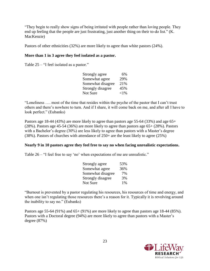"They begin to really show signs of being irritated with people rather than loving people. They end up feeling that the people are just frustrating, just another thing on their to-do list." (K. MacKenzie)

Pastors of other ethnicities (32%) are more likely to agree than white pastors (24%).

## **More than 1 in 3 agree they feel isolated as a pastor.**

Table 25 – "I feel isolated as a pastor."

| Strongly agree    | 6%       |
|-------------------|----------|
| Somewhat agree    | 29%      |
| Somewhat disagree | 21%      |
| Strongly disagree | 45%      |
| Not Sure          | ${<}1\%$ |

"Loneliness …. most of the time that resides within the psyche of the pastor that I can't trust others and there's nowhere to turn. And if I share, it will come back on me, and after all I have to look perfect." (Eubanks)

Pastors age 18-44 (43%) are more likely to agree than pastors age 55-64 (33%) and age  $65+$ (28%). Pastors age 45-54 (36%) are more likely to agree than pastors age 65+ (28%). Pastors with a Bachelor's degree (30%) are less likely to agree than pastors with a Master's degree (38%). Pastors of churches with attendance of 250+ are the least likely to agree (25%)

#### **Nearly 9 in 10 pastors agree they feel free to say no when facing unrealistic expectations.**

Table 26 – "I feel free to say 'no' when expectations of me are unrealistic."

| Strongly agree    | 53%   |
|-------------------|-------|
| Somewhat agree    | 36%   |
| Somewhat disagree | 7%    |
| Strongly disagree | 3%    |
| Not Sure          | $1\%$ |

"Burnout is prevented by a pastor regulating his resources, his resources of time and energy, and when one isn't regulating those resources there's a reason for it. Typically it is revolving around the inability to say no." (Eubanks)

Pastors age 55-64 (91%) and 65+ (91%) are more likely to agree than pastors age 18-44 (85%). Pastors with a Doctoral degree (94%) are more likely to agree than pastors with a Master's degree (87%)

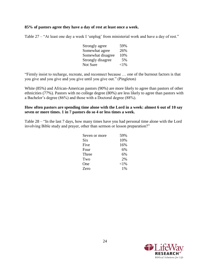#### **85% of pastors agree they have a day of rest at least once a week.**

Table 27 – "At least one day a week I 'unplug' from ministerial work and have a day of rest."

| Strongly agree    | 59%      |
|-------------------|----------|
| Somewhat agree    | 26%      |
| Somewhat disagree | 10%      |
| Strongly disagree | 5%       |
| Not Sure          | ${<}1\%$ |

"Firmly insist to recharge, recreate, and reconnect because … one of the burnout factors is that you give and you give and you give until you give out." (Pingleton)

White (85%) and African-American pastors (90%) are more likely to agree than pastors of other ethnicities (77%). Pastors with no college degree (80%) are less likely to agree than pastors with a Bachelor's degree (86%) and those with a Doctoral degree (88%).

#### **How often pastors are spending time alone with the Lord in a week: almost 6 out of 10 say seven or more times. 1 in 7 pastors do so 4 or less times a week.**

Table 28 – "In the last 7 days, how many times have you had personal time alone with the Lord involving Bible study and prayer, other than sermon or lesson preparation?"

| Seven or more | 59%    |
|---------------|--------|
| Six           | 10%    |
| Five          | 16%    |
| Four          | 6%     |
| Three         | 6%     |
| Two           | 2%     |
| One           | $<$ 1% |
| Zero          | 1%     |

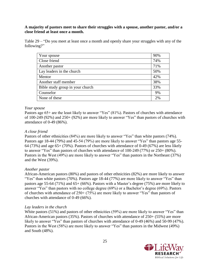#### **A majority of pastors meet to share their struggles with a spouse, another pastor, and/or a close friend at least once a month.**

Table 29 – "Do you meet at least once a month and openly share your struggles with any of the following?"

| Your spouse                      | 90% |
|----------------------------------|-----|
| Close friend                     | 74% |
| Another pastor                   | 71% |
| Lay leaders in the church        | 50% |
| Mentor                           | 42% |
| Another staff member             | 38% |
| Bible study group in your church | 33% |
| Counselor                        | 9%  |
| None of these                    | 2%  |

#### *Your spouse*

Pastors age 65+ are the least likely to answer "Yes" (81%). Pastors of churches with attendance of 100-249 (92%) and 250+ (92%) are more likely to answer "Yes" than pastors of churches with attendance of 0-49 (86%).

#### *A close friend*

Pastors of other ethnicities (84%) are more likely to answer "Yes" than white pastors (74%). Pastors age 18-44 (79%) and 45-54 (79%) are more likely to answer "Yes" than pastors age 55- 64 (73%) and age 65+ (70%). Pastors of churches with attendance of 0-49 (67%) are less likely to answer "Yes" than pastors of churches with attendance of 100-249 (77%) or 250+ (80%). Pastors in the West (49%) are more likely to answer "Yes" than pastors in the Northeast (37%) and the West (39%).

#### *Another pastor*

African-American pastors (80%) and pastors of other ethnicities (82%) are more likely to answer "Yes" than white pastors (70%). Pastors age 18-44 (77%) are more likely to answer "Yes" than pastors age 55-64 (71%) and 65+ (66%). Pastors with a Master's degree (75%) are more likely to answer "Yes" than pastors with no college degree (69%) or a Bachelor's degree (69%). Pastors of churches with attendance of 250+ (75%) are more likely to answer "Yes" than pastors of churches with attendance of 0-49 (66%).

#### *Lay leaders in the church*

White pastors (51%) and pastors of other ethnicities (59%) are more likely to answer "Yes" than African-American pastors (35%). Pastors of churches with attendance of 250+ (55%) are more likely to answer "Yes" than pastors of churches with attendance of 0-49 (46%) and 50-99 (47%). Pastors in the West (58%) are more likely to answer "Yes" than pastors in the Midwest (49%) and South (48%).

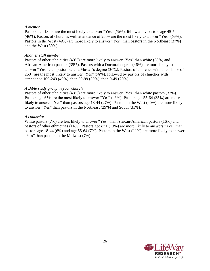#### *A mentor*

Pastors age 18-44 are the most likely to answer "Yes" (56%), followed by pastors age 45-54 (46%). Pastors of churches with attendance of 250+ are the most likely to answer "Yes" (53%). Pastors in the West (49%) are more likely to answer "Yes" than pastors in the Northeast (37%) and the West (39%).

#### *Another staff member*

Pastors of other ethnicities (49%) are more likely to answer "Yes" than white (38%) and African-American pastors (35%). Pastors with a Doctoral degree (46%) are more likely to answer "Yes" than pastors with a Master's degree (36%). Pastors of churches with attendance of 250+ are the most likely to answer "Yes" (58%), followed by pastors of churches with attendance 100-249 (46%), then 50-99 (30%), then 0-49 (20%).

#### *A Bible study group in your church*

Pastors of other ethnicities (43%) are more likely to answer "Yes" than white pastors (32%). Pastors age 65+ are the most likely to answer "Yes" (43%). Pastors age 55-64 (35%) are more likely to answer "Yes" than pastors age 18-44 (27%). Pastors in the West (40%) are more likely to answer "Yes" than pastors in the Northeast (29%) and South (31%).

#### *A counselor*

White pastors (7%) are less likely to answer "Yes" than African-American pastors (16%) and pastors of other ethnicities (14%). Pastors age 65+ (13%) are more likely to answers "Yes" than pastors age 18-44 (6%) and age 55-64 (7%). Pastors in the West (11%) are more likely to answer "Yes" than pastors in the Midwest (7%).

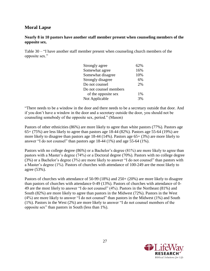# **Moral Lapse**

#### **Nearly 8 in 10 pastors have another staff member present when counseling members of the opposite sex.**

Table 30 – "I have another staff member present when counseling church members of the opposite sex."

| Strongly agree         | 62% |
|------------------------|-----|
| Somewhat agree         | 16% |
| Somewhat disagree      | 10% |
| Strongly disagree      | 6%  |
| Do not counsel         | 2%  |
| Do not counsel members |     |
| of the opposite sex    | 1%  |
| Not Applicable         | 3%  |

"There needs to be a window in the door and there needs to be a secretary outside that door. And if you don't have a window in the door and a secretary outside the door, you should not be counseling somebody of the opposite sex, period." (Mason)

Pastors of other ethnicities (86%) are more likely to agree than white pastors (77%). Pastors age 65+ (75%) are less likely to agree than pastors age 18-44 (82%). Pastors age 55-64 (19%) are more likely to disagree than pastors age 18-44 (14%). Pastors age 65+ (3%) are more likely to answer "I do not counsel" than pastors age 18-44 (1%) and age 55-64 (1%).

Pastors with no college degree (86%) or a Bachelor's degree (81%) are more likely to agree than pastors with a Master's degree (74%) or a Doctoral degree (70%). Pastors with no college degree (3%) or a Bachelor's degree (3%) are more likely to answer "I do not counsel" than pastors with a Master's degree (1%). Pastors of churches with attendance of 100-249 are the most likely to agree (53%).

Pastors of churches with attendance of 50-99 (18%) and 250+ (20%) are more likely to disagree than pastors of churches with attendance 0-49 (13%). Pastors of churches with attendance of 0- 49 are the most likely to answer "I do not counsel" (4%). Pastors in the Northeast (81%) and South (82%) are more likely to agree than pastors in the Midwest (72%). Pastors in the West (4%) are more likely to answer "I do not counsel" than pastors in the Midwest (1%) and South (1%). Pastors in the West (2%) are more likely to answer "I do not counsel members of the opposite sex" than pastors in South (less than 1%).

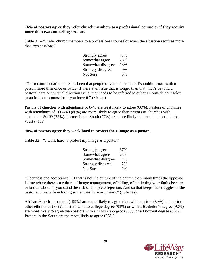#### **76% of pastors agree they refer church members to a professional counselor if they require more than two counseling sessions.**

Table 31 – "I refer church members to a professional counselor when the situation requires more than two sessions."

| Strongly agree    | 47% |
|-------------------|-----|
| Somewhat agree    | 28% |
| Somewhat disagree | 13% |
| Strongly disagree | 9%  |
| Not Sure          | 3%  |

"Our recommendation here has been that people on a ministerial staff shouldn't meet with a person more than once or twice. If there's an issue that is longer than that, that's beyond a pastoral care or spiritual direction issue, that needs to be referred to either an outside counselor or an in-house counselor if you have it." (Mason)

Pastors of churches with attendance of 0-49 are least likely to agree (66%). Pastors of churches with attendance of 100-249 (80%) are more likely to agree than pastors of churches with attendance 50-99 (75%). Pastors in the South (77%) are more likely to agree than those in the West (71%).

#### **90% of pastors agree they work hard to protect their image as a pastor.**

Table 32 – "I work hard to protect my image as a pastor."

| Strongly agree    | 67% |
|-------------------|-----|
| Somewhat agree    | 23% |
| Somewhat disagree | 7%  |
| Strongly disagree | 2%  |
| Not Sure          | 1%  |

"Openness and acceptance  $-\text{if that is not the culture of the church then many times the opposite}$ is true where there's a culture of image management, of hiding, of not letting your faults be seen or known about or you stand the risk of complete rejection. And so that keeps the struggles of the pastor and his wife in hiding sometimes for many years." (Eubanks)

African-American pastors (>99%) are more likely to agree than white pastors (89%) and pastors other ethnicities (87%). Pastors with no college degree (93%) or with a Bachelor's degree (92%) are more likely to agree than pastors with a Master's degree (88%) or a Doctoral degree (86%). Pastors in the South are the most likely to agree (93%).

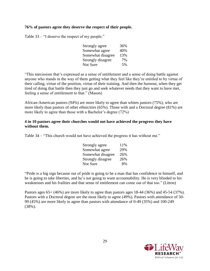### **76% of pastors agree they deserve the respect of their people.**

Table 33 – "I deserve the respect of my people."

| Strongly agree    | 36% |
|-------------------|-----|
| Somewhat agree    | 40% |
| Somewhat disagree | 13% |
| Strongly disagree | 7%  |
| Not Sure          | 5%  |

"This narcissism that's expressed as a sense of entitlement and a sense of doing battle against anyone who stands in the way of them getting what they feel like they're entitled to by virtue of their calling, virtue of the position, virtue of their training. And then the burnout, when they get tired of doing that battle then they just go and seek whatever needs that they want to have met, feeling a sense of entitlement to that." (Mason)

African-American pastors (94%) are more likely to agree than whites pastors (75%), who are more likely than pastors of other ethnicities (65%). Those with and a Doctoral degree (81%) are more likely to agree than those with a Bachelor's degree (72%)

#### **4 in 10 pastors agree their churches would not have achieved the progress they have without them.**

Table 34 – "This church would not have achieved the progress it has without me."

| Strongly agree    | 11% |
|-------------------|-----|
| Somewhat agree    | 29% |
| Somewhat disagree | 26% |
| Strongly disagree | 26% |
| Not Sure          | 8%  |

"Pride is a big sign because out of pride is going to be a man that has confidence in himself, and he is going to take liberties, and he's not going to want accountability. He is very blinded to his weaknesses and his frailties and that sense of entitlement can come out of that too." (Litton)

Pastors ages 65+ (46%) are more likely to agree than pastors ages 18-44 (36%) and 45-54 (37%). Pastors with a Doctoral degree are the most likely to agree (49%). Pastors with attendance of 50- 99 (45%) are more likely to agree than pastors with attendance of 0-49 (35%) and 100-249 (38%).

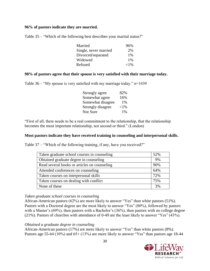#### **96% of pastors indicate they are married.**

Table 35 – "Which of the following best describes your marital status?"

| Married               | 96%      |
|-----------------------|----------|
| Single, never married | 2%       |
| Divorced/separated    | $1\%$    |
| Widowed               | $1\%$    |
| Refused               | ${<}1\%$ |

#### **98% of pastors agree that their spouse is very satisfied with their marriage today.**

Table 36 – "My spouse is very satisfied with my marriage today." n=1439

| Strongly agree    | 82%      |
|-------------------|----------|
| Somewhat agree    | 16%      |
| Somewhat disagree | $1\%$    |
| Strongly disagree | ${<}1\%$ |
| Not Sure          | $1\%$    |
|                   |          |

"First of all, there needs to be a real commitment to the relationship, that the relationship becomes the most important relationship, not second or third." (London)

#### **Most pastors indicate they have received training in counseling and interpersonal skills.**

Table 37 – "Which of the following training, if any, have you received?"

| Taken graduate school courses in counseling  | 52% |
|----------------------------------------------|-----|
| Obtained graduate degree in counseling       | 9%  |
| Read several books or articles on counseling | 90% |
| Attended conferences on counseling           | 64% |
| Taken courses on interpersonal skills        | 72% |
| Taken courses on dealing with conflict       | 75% |
| None of these                                | 3%  |

#### *Taken graduate school courses in counseling*

African-American pastors (62%) are more likely to answer "Yes" than white pastors (51%). Pastors with a Doctoral degree are the most likely to answer "Yes" (80%), followed by pastors with a Master's (69%), then pastors with a Bachelor's (36%), then pastors with no college degree (21%). Pastors of churches with attendance of 0-49 are the least likely to answer "Yes" (43%).

#### *Obtained a graduate degree in counseling*

African-American pastors (17%) are more likely to answer "Yes" than white pastors (8%). Pastors age 55-64 (10%) and 65+ (13%) are more likely to answer "Yes" than pastors age 18-44

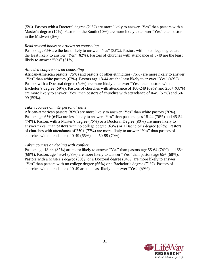(5%). Pastors with a Doctoral degree (21%) are more likely to answer "Yes" than pastors with a Master's degree (12%). Pastors in the South (10%) are more likely to answer "Yes" than pastors in the Midwest (6%).

#### *Read several books or articles on counseling*

Pastors age 65+ are the least likely to answer "Yes" (85%). Pastors with no college degree are the least likely to answer "Yes" (82%). Pastors of churches with attendance of 0-49 are the least likely to answer "Yes" (81%).

#### *Attended conferences on counseling*

African-American pastors (75%) and pastors of other ethnicities (76%) are more likely to answer "Yes" than white pastors (62%). Pastors age 18-44 are the least likely to answer "Yes" (49%). Pastors with a Doctoral degree (69%) are more likely to answer "Yes" than pastors with a Bachelor's degree (59%). Pastors of churches with attendance of 100-249 (69%) and 250+ (68%) are more likely to answer "Yes" than pastors of churches with attendance of 0-49 (57%) and 50- 99 (59%).

#### *Taken courses on interpersonal skills*

African-American pastors (82%) are more likely to answer "Yes" than white pastors (70%). Pastors age 65+ (64%) are less likely to answer "Yes" than pastors ages 18-44 (76%) and 45-54 (74%). Pastors with a Master's degree (75%) or a Doctoral Degree (80%) are more likely to answer "Yes" than pastors with no college degree (63%) or a Bachelor's degree (69%). Pastors of churches with attendance of 250+ (77%) are more likely to answer "Yes" than pastors of churches with attendance of 0-49 (65%) and 50-99 (70%).

#### *Taken courses on dealing with conflict*

Pastors age 18-44 (82%) are more likely to answer "Yes" than pastors age 55-64 (74%) and 65+  $(68\%)$ . Pastors age 45-54 (78%) are more likely to answer "Yes" than pastors age 65+ (68%). Pastors with a Master's degree (80%) or a Doctoral degree (84%) are more likely to answer "Yes" than pastors with no college degree (66%) or a Bachelor's degree (71%). Pastors of churches with attendance of 0-49 are the least likely to answer "Yes" (69%).

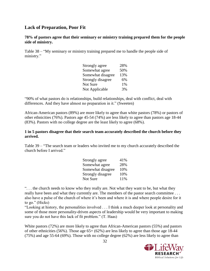# **Lack of Preparation, Poor Fit**

#### **78% of pastors agree that their seminary or ministry training prepared them for the people side of ministry.**

Table 38 – "My seminary or ministry training prepared me to handle the people side of ministry."

| Strongly agree    | 28% |
|-------------------|-----|
| Somewhat agree    | 50% |
| Somewhat disagree | 13% |
| Strongly disagree | 6%  |
| Not Sure          | 1%  |
| Not Applicable    | 3%  |

"90% of what pastors do is relationships, build relationships, deal with conflict, deal with differences. And they have almost no preparation in it." (Sweeten)

African-American pastors (89%) are more likely to agree than white pastors (78%) or pastors of other ethnicities (76%). Pastors age 45-54 (74%) are less likely to agree than pastors age 18-44 (83%). Pastors with no college degree are the least likely to agree (68%).

#### **1 in 5 pastors disagree that their search team accurately described the church before they arrived.**

Table 39 – "The search team or leaders who invited me to my church accurately described the church before I arrived."

| Strongly agree    | 41% |
|-------------------|-----|
| Somewhat agree    | 28% |
| Somewhat disagree | 10% |
| Strongly disagree | 10% |
| Not Sure          | 11% |

". . . the church needs to know who they really are. Not what they want to be, but what they really have been and what they currently are. The members of the pastor search committee . . . also have a pulse of the church of where it's been and where it is and where people desire for it to go." (Hicks)

"Looking at history, the personalities involved . . . I think a much deeper look at personality and some of those more personality-driven aspects of leadership would be very important to making sure you do not have this lack of fit problem." (T. Haas)

White pastors (72%) are more likely to agree than African-American pastors (55%) and pastors of other ethnicities (56%). Those age 65+ (62%) are less likely to agree than those age 18-44 (75%) and age 55-64 (69%). Those with no college degree (62%) are less likely to agree than